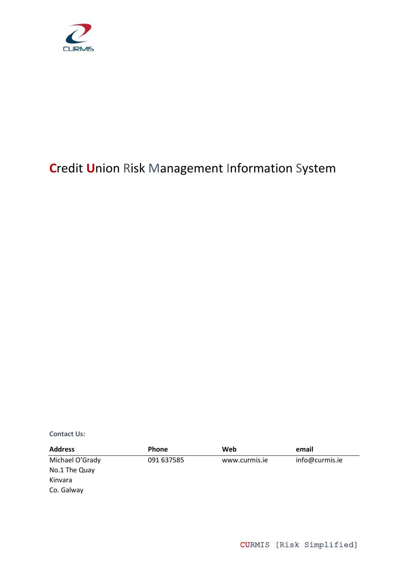

# **C**redit **U**nion Risk Management Information System

**Contact Us:**

| <b>Address</b>  | <b>Phone</b> | Web           | email          |
|-----------------|--------------|---------------|----------------|
| Michael O'Grady | 091 637585   | www.curmis.ie | info@curmis.ie |
| No.1 The Quay   |              |               |                |
| Kinvara         |              |               |                |
| Co. Galway      |              |               |                |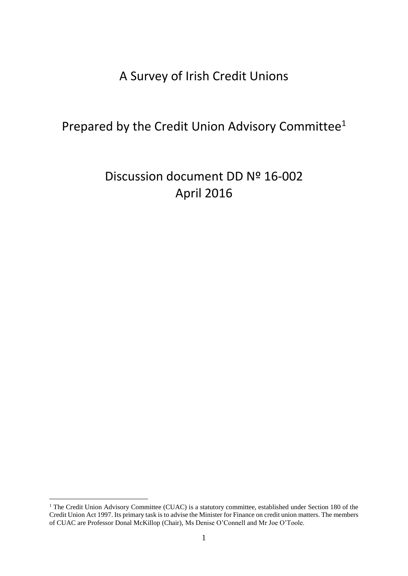## A Survey of Irish Credit Unions

## Prepared by the Credit Union Advisory Committee<sup>1</sup>

# Discussion document DD Nº 16-002 April 2016

<u>.</u>

<sup>&</sup>lt;sup>1</sup> The Credit Union Advisory Committee (CUAC) is a statutory committee, established under Section 180 of the Credit Union Act 1997. Its primary task is to advise the Minister for Finance on credit union matters. The members of CUAC are Professor Donal McKillop (Chair), Ms Denise O'Connell and Mr Joe O'Toole.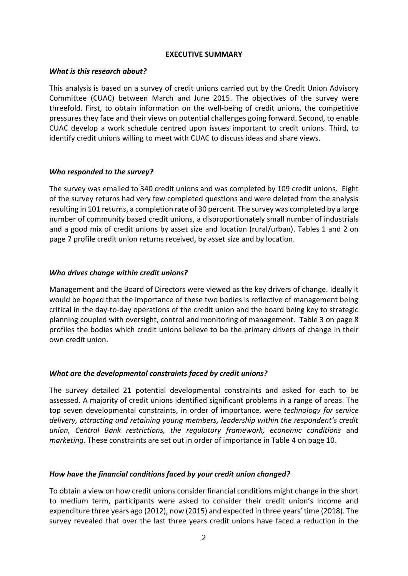### **EXECUTIVE SUMMARY**

### *What is this research about?*

This analysis is based on a survey of credit unions carried out by the Credit Union Advisory Committee (CUAC) between March and June 2015. The objectives of the survey were threefold. First, to obtain information on the well-being of credit unions, the competitive pressures they face and their views on potential challenges going forward. Second, to enable CUAC develop a work schedule centred upon issues important to credit unions. Third, to identify credit unions willing to meet with CUAC to discuss ideas and share views.

### *Who responded to the survey?*

The survey was emailed to 340 credit unions and was completed by 109 credit unions. Eight of the survey returns had very few completed questions and were deleted from the analysis resulting in 101 returns, a completion rate of 30 percent. The survey was completed by a large number of community based credit unions, a disproportionately small number of industrials and a good mix of credit unions by asset size and location (rural/urban). Tables 1 and 2 on page 7 profile credit union returns received, by asset size and by location.

## *Who drives change within credit unions?*

Management and the Board of Directors were viewed as the key drivers of change. Ideally it would be hoped that the importance of these two bodies is reflective of management being critical in the day-to-day operations of the credit union and the board being key to strategic planning coupled with oversight, control and monitoring of management. Table 3 on page 8 profiles the bodies which credit unions believe to be the primary drivers of change in their own credit union.

## *What are the developmental constraints faced by credit unions?*

The survey detailed 21 potential developmental constraints and asked for each to be assessed. A majority of credit unions identified significant problems in a range of areas. The top seven developmental constraints, in order of importance, were *technology for service delivery, attracting and retaining young members, leadership within the respondent's credit union, Central Bank restrictions, the regulatory framework, economic conditions* and *marketing.* These constraints are set out in order of importance in Table 4 on page 10.

## *How have the financial conditions faced by your credit union changed?*

To obtain a view on how credit unions consider financial conditions might change in the short to medium term, participants were asked to consider their credit union's income and expenditure three years ago (2012), now (2015) and expected in three years' time (2018). The survey revealed that over the last three years credit unions have faced a reduction in the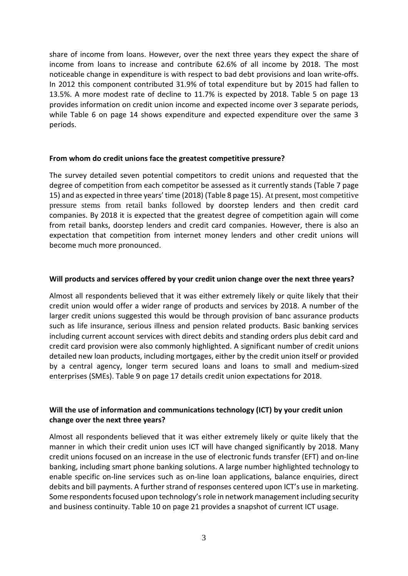share of income from loans. However, over the next three years they expect the share of income from loans to increase and contribute 62.6% of all income by 2018. The most noticeable change in expenditure is with respect to bad debt provisions and loan write-offs. In 2012 this component contributed 31.9% of total expenditure but by 2015 had fallen to 13.5%. A more modest rate of decline to 11.7% is expected by 2018. Table 5 on page 13 provides information on credit union income and expected income over 3 separate periods, while Table 6 on page 14 shows expenditure and expected expenditure over the same 3 periods.

## **From whom do credit unions face the greatest competitive pressure?**

The survey detailed seven potential competitors to credit unions and requested that the degree of competition from each competitor be assessed as it currently stands (Table 7 page 15) and as expected in three years' time (2018) (Table 8 page 15). At present, most competitive pressure stems from retail banks followed by doorstep lenders and then credit card companies. By 2018 it is expected that the greatest degree of competition again will come from retail banks, doorstep lenders and credit card companies. However, there is also an expectation that competition from internet money lenders and other credit unions will become much more pronounced.

## **Will products and services offered by your credit union change over the next three years?**

Almost all respondents believed that it was either extremely likely or quite likely that their credit union would offer a wider range of products and services by 2018. A number of the larger credit unions suggested this would be through provision of banc assurance products such as life insurance, serious illness and pension related products. Basic banking services including current account services with direct debits and standing orders plus debit card and credit card provision were also commonly highlighted. A significant number of credit unions detailed new loan products, including mortgages, either by the credit union itself or provided by a central agency, longer term secured loans and loans to small and medium-sized enterprises (SMEs). Table 9 on page 17 details credit union expectations for 2018.

## **Will the use of information and communications technology (ICT) by your credit union change over the next three years?**

Almost all respondents believed that it was either extremely likely or quite likely that the manner in which their credit union uses ICT will have changed significantly by 2018. Many credit unions focused on an increase in the use of electronic funds transfer (EFT) and on-line banking, including smart phone banking solutions. A large number highlighted technology to enable specific on-line services such as on-line loan applications, balance enquiries, direct debits and bill payments. A further strand of responses centered upon ICT's use in marketing. Some respondents focused upon technology's role in network management including security and business continuity. Table 10 on page 21 provides a snapshot of current ICT usage.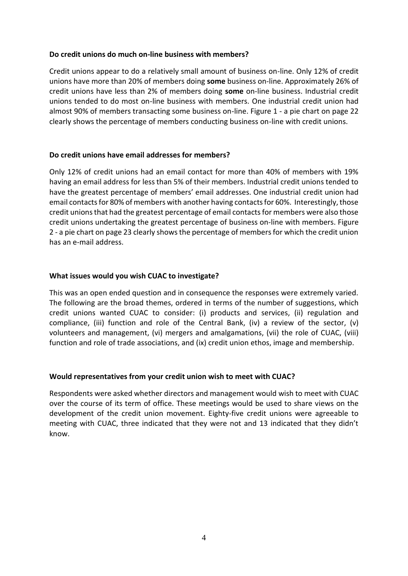## **Do credit unions do much on-line business with members?**

Credit unions appear to do a relatively small amount of business on-line. Only 12% of credit unions have more than 20% of members doing **some** business on-line. Approximately 26% of credit unions have less than 2% of members doing **some** on-line business. Industrial credit unions tended to do most on-line business with members. One industrial credit union had almost 90% of members transacting some business on-line. Figure 1 - a pie chart on page 22 clearly shows the percentage of members conducting business on-line with credit unions.

## **Do credit unions have email addresses for members?**

Only 12% of credit unions had an email contact for more than 40% of members with 19% having an email address for less than 5% of their members. Industrial credit unions tended to have the greatest percentage of members' email addresses. One industrial credit union had email contacts for 80% of members with another having contacts for 60%. Interestingly, those credit unions that had the greatest percentage of email contacts for members were also those credit unions undertaking the greatest percentage of business on-line with members. Figure 2 - a pie chart on page 23 clearly shows the percentage of members for which the credit union has an e-mail address.

## **What issues would you wish CUAC to investigate?**

This was an open ended question and in consequence the responses were extremely varied. The following are the broad themes, ordered in terms of the number of suggestions, which credit unions wanted CUAC to consider: (i) products and services, (ii) regulation and compliance, (iii) function and role of the Central Bank, (iv) a review of the sector, (v) volunteers and management, (vi) mergers and amalgamations, (vii) the role of CUAC, (viii) function and role of trade associations, and (ix) credit union ethos, image and membership.

## **Would representatives from your credit union wish to meet with CUAC?**

Respondents were asked whether directors and management would wish to meet with CUAC over the course of its term of office. These meetings would be used to share views on the development of the credit union movement. Eighty-five credit unions were agreeable to meeting with CUAC, three indicated that they were not and 13 indicated that they didn't know.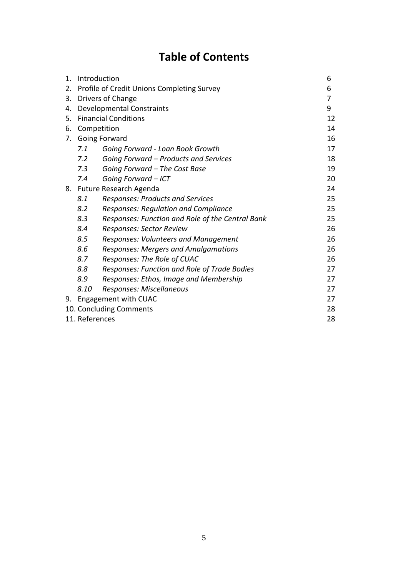## **Table of Contents**

| 1. |                | Introduction                                     | 6  |
|----|----------------|--------------------------------------------------|----|
| 2. |                | Profile of Credit Unions Completing Survey       | 6  |
| 3. |                | Drivers of Change                                | 7  |
| 4. |                | <b>Developmental Constraints</b>                 | 9  |
| 5. |                | <b>Financial Conditions</b>                      | 12 |
| 6. |                | Competition                                      | 14 |
| 7. |                | Going Forward                                    | 16 |
|    | 7.1            | Going Forward - Loan Book Growth                 | 17 |
|    | 7.2            | Going Forward - Products and Services            | 18 |
|    | 7.3            | Going Forward - The Cost Base                    | 19 |
|    | 7.4            | Going Forward - ICT                              | 20 |
|    |                | 8. Future Research Agenda                        | 24 |
|    | 8.1            | <b>Responses: Products and Services</b>          | 25 |
|    | 8.2            | <b>Responses: Regulation and Compliance</b>      | 25 |
|    | 8.3            | Responses: Function and Role of the Central Bank | 25 |
|    | 8.4            | Responses: Sector Review                         | 26 |
|    | 8.5            | <b>Responses: Volunteers and Management</b>      | 26 |
|    | 8.6            | Responses: Mergers and Amalgamations             | 26 |
|    | 8.7            | Responses: The Role of CUAC                      | 26 |
|    | 8.8            | Responses: Function and Role of Trade Bodies     | 27 |
|    | 8.9            | Responses: Ethos, Image and Membership           | 27 |
|    | 8.10           | Responses: Miscellaneous                         | 27 |
| 9. |                | <b>Engagement with CUAC</b>                      | 27 |
|    |                | 10. Concluding Comments                          | 28 |
|    | 11. References |                                                  | 28 |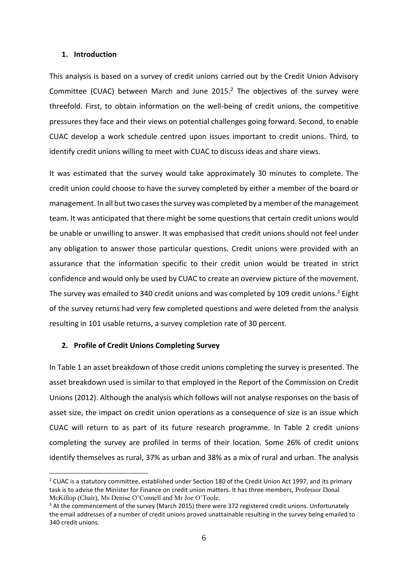#### **1. Introduction**

This analysis is based on a survey of credit unions carried out by the Credit Union Advisory Committee (CUAC) between March and June  $2015<sup>2</sup>$  The objectives of the survey were threefold. First, to obtain information on the well-being of credit unions, the competitive pressures they face and their views on potential challenges going forward. Second, to enable CUAC develop a work schedule centred upon issues important to credit unions. Third, to identify credit unions willing to meet with CUAC to discuss ideas and share views.

It was estimated that the survey would take approximately 30 minutes to complete. The credit union could choose to have the survey completed by either a member of the board or management. In all but two cases the survey was completed by a member of the management team. It was anticipated that there might be some questions that certain credit unions would be unable or unwilling to answer. It was emphasised that credit unions should not feel under any obligation to answer those particular questions. Credit unions were provided with an assurance that the information specific to their credit union would be treated in strict confidence and would only be used by CUAC to create an overview picture of the movement. The survey was emailed to 340 credit unions and was completed by 109 credit unions.<sup>3</sup> Eight of the survey returns had very few completed questions and were deleted from the analysis resulting in 101 usable returns, a survey completion rate of 30 percent.

#### **2. Profile of Credit Unions Completing Survey**

1

In Table 1 an asset breakdown of those credit unions completing the survey is presented. The asset breakdown used is similar to that employed in the Report of the Commission on Credit Unions (2012). Although the analysis which follows will not analyse responses on the basis of asset size, the impact on credit union operations as a consequence of size is an issue which CUAC will return to as part of its future research programme. In Table 2 credit unions completing the survey are profiled in terms of their location. Some 26% of credit unions identify themselves as rural, 37% as urban and 38% as a mix of rural and urban. The analysis

<sup>&</sup>lt;sup>2</sup> CUAC is a statutory committee, established under Section 180 of the Credit Union Act 1997, and its primary task is to advise the Minister for Finance on credit union matters. It has three members, Professor Donal McKillop (Chair), Ms Denise O'Connell and Mr Joe O'Toole.

<sup>&</sup>lt;sup>3</sup> At the commencement of the survey (March 2015) there were 372 registered credit unions. Unfortunately the email addresses of a number of credit unions proved unattainable resulting in the survey being emailed to 340 credit unions.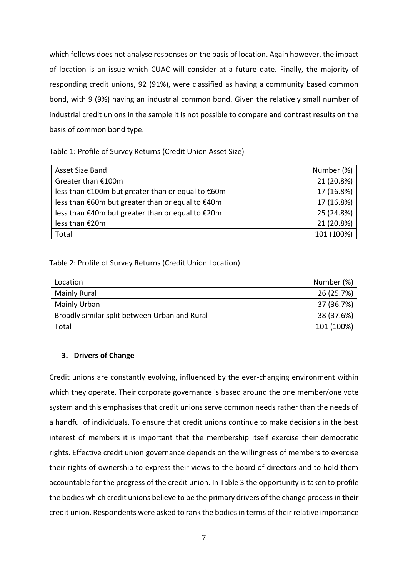which follows does not analyse responses on the basis of location. Again however, the impact of location is an issue which CUAC will consider at a future date. Finally, the majority of responding credit unions, 92 (91%), were classified as having a community based common bond, with 9 (9%) having an industrial common bond. Given the relatively small number of industrial credit unions in the sample it is not possible to compare and contrast results on the basis of common bond type.

Table 1: Profile of Survey Returns (Credit Union Asset Size)

| Asset Size Band                                   | Number (%) |
|---------------------------------------------------|------------|
| Greater than €100m                                | 21 (20.8%) |
| less than €100m but greater than or equal to €60m | 17 (16.8%) |
| less than €60m but greater than or equal to €40m  | 17 (16.8%) |
| less than €40m but greater than or equal to €20m  | 25 (24.8%) |
| less than €20m                                    | 21 (20.8%) |
| Total                                             | 101 (100%) |

## Table 2: Profile of Survey Returns (Credit Union Location)

| Location                                      | Number (%) |
|-----------------------------------------------|------------|
| Mainly Rural                                  | 26 (25.7%) |
| Mainly Urban                                  | 37 (36.7%) |
| Broadly similar split between Urban and Rural | 38 (37.6%) |
| Total                                         | 101 (100%) |

## **3. Drivers of Change**

Credit unions are constantly evolving, influenced by the ever-changing environment within which they operate. Their corporate governance is based around the one member/one vote system and this emphasises that credit unions serve common needs rather than the needs of a handful of individuals. To ensure that credit unions continue to make decisions in the best interest of members it is important that the membership itself exercise their democratic rights. Effective credit union governance depends on the willingness of members to exercise their rights of ownership to express their views to the board of directors and to hold them accountable for the progress of the credit union. In Table 3 the opportunity is taken to profile the bodies which credit unions believe to be the primary drivers of the change process in **their** credit union. Respondents were asked to rank the bodies in terms of their relative importance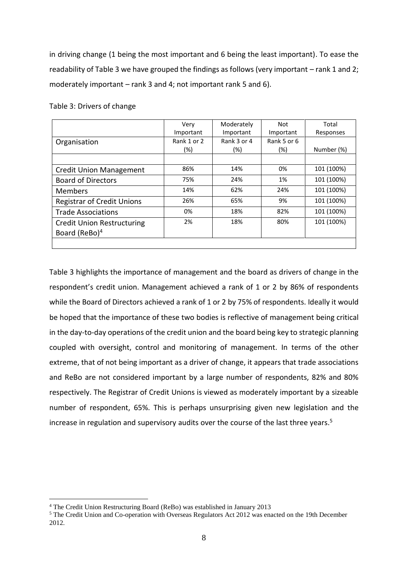in driving change (1 being the most important and 6 being the least important). To ease the readability of Table 3 we have grouped the findings as follows (very important – rank 1 and 2; moderately important – rank 3 and 4; not important rank 5 and 6).

|                                   | Verv        | Moderately  | Not         | Total      |
|-----------------------------------|-------------|-------------|-------------|------------|
|                                   | Important   | Important   | Important   | Responses  |
| Organisation                      | Rank 1 or 2 | Rank 3 or 4 | Rank 5 or 6 |            |
|                                   | (%)         | (%)         | (%)         | Number (%) |
|                                   |             |             |             |            |
| <b>Credit Union Management</b>    | 86%         | 14%         | 0%          | 101 (100%) |
| <b>Board of Directors</b>         | 75%         | 24%         | 1%          | 101 (100%) |
| <b>Members</b>                    | 14%         | 62%         | 24%         | 101 (100%) |
| <b>Registrar of Credit Unions</b> | 26%         | 65%         | 9%          | 101 (100%) |
| <b>Trade Associations</b>         | 0%          | 18%         | 82%         | 101 (100%) |
| <b>Credit Union Restructuring</b> | 2%          | 18%         | 80%         | 101 (100%) |
| Board (ReBo) <sup>4</sup>         |             |             |             |            |
|                                   |             |             |             |            |

Table 3: Drivers of change

Table 3 highlights the importance of management and the board as drivers of change in the respondent's credit union. Management achieved a rank of 1 or 2 by 86% of respondents while the Board of Directors achieved a rank of 1 or 2 by 75% of respondents. Ideally it would be hoped that the importance of these two bodies is reflective of management being critical in the day-to-day operations of the credit union and the board being key to strategic planning coupled with oversight, control and monitoring of management. In terms of the other extreme, that of not being important as a driver of change, it appears that trade associations and ReBo are not considered important by a large number of respondents, 82% and 80% respectively. The Registrar of Credit Unions is viewed as moderately important by a sizeable number of respondent, 65%. This is perhaps unsurprising given new legislation and the increase in regulation and supervisory audits over the course of the last three years.<sup>5</sup>

<u>.</u>

<sup>4</sup> The Credit Union Restructuring Board (ReBo) was established in January 2013

<sup>&</sup>lt;sup>5</sup> The Credit Union and Co-operation with Overseas Regulators Act 2012 was enacted on the 19th December 2012.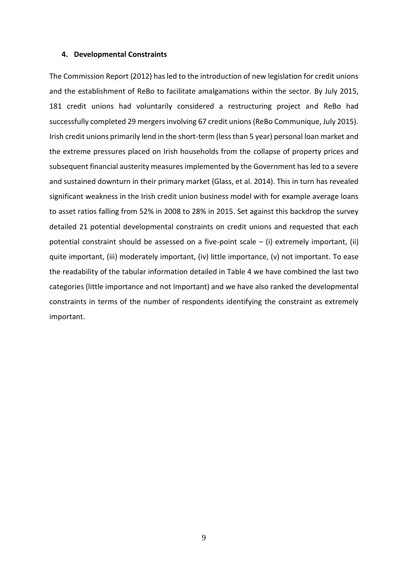#### **4. Developmental Constraints**

The Commission Report (2012) has led to the introduction of new legislation for credit unions and the establishment of ReBo to facilitate amalgamations within the sector. By July 2015, 181 credit unions had voluntarily considered a restructuring project and ReBo had successfully completed 29 mergers involving 67 credit unions (ReBo Communique, July 2015). Irish credit unions primarily lend in the short-term (less than 5 year) personal loan market and the extreme pressures placed on Irish households from the collapse of property prices and subsequent financial austerity measures implemented by the Government has led to a severe and sustained downturn in their primary market (Glass, et al. 2014). This in turn has revealed significant weakness in the Irish credit union business model with for example average loans to asset ratios falling from 52% in 2008 to 28% in 2015. Set against this backdrop the survey detailed 21 potential developmental constraints on credit unions and requested that each potential constraint should be assessed on a five-point scale – (i) extremely important, (ii) quite important, (iii) moderately important, (iv) little importance, (v) not important. To ease the readability of the tabular information detailed in Table 4 we have combined the last two categories (little importance and not Important) and we have also ranked the developmental constraints in terms of the number of respondents identifying the constraint as extremely important.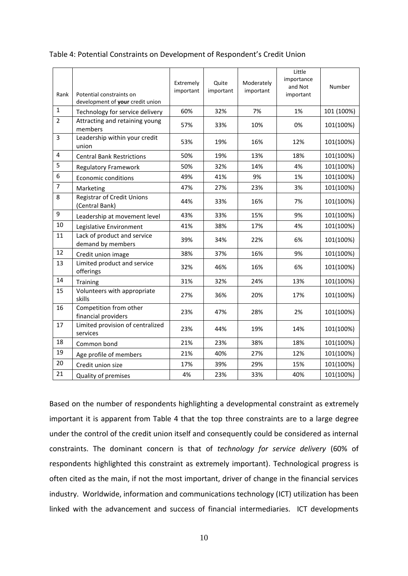| Rank           | Potential constraints on<br>development of your credit union | Extremely<br>important | Quite<br>important | Moderately<br>important | Little<br>importance<br>and Not<br>important | Number     |
|----------------|--------------------------------------------------------------|------------------------|--------------------|-------------------------|----------------------------------------------|------------|
| $\mathbf{1}$   | Technology for service delivery                              | 60%                    | 32%                | 7%                      | 1%                                           | 101 (100%) |
| $\overline{2}$ | Attracting and retaining young<br>members                    | 57%                    | 33%                | 10%                     | 0%                                           | 101(100%)  |
| $\overline{3}$ | Leadership within your credit<br>union                       | 53%                    | 19%                | 16%                     | 12%                                          | 101(100%)  |
| $\overline{4}$ | <b>Central Bank Restrictions</b>                             | 50%                    | 19%                | 13%                     | 18%                                          | 101(100%)  |
| 5              | <b>Regulatory Framework</b>                                  | 50%                    | 32%                | 14%                     | 4%                                           | 101(100%)  |
| 6              | <b>Economic conditions</b>                                   | 49%                    | 41%                | 9%                      | 1%                                           | 101(100%)  |
| $\overline{7}$ | Marketing                                                    | 47%                    | 27%                | 23%                     | 3%                                           | 101(100%)  |
| 8              | <b>Registrar of Credit Unions</b><br>(Central Bank)          | 44%                    | 33%                | 16%                     | 7%                                           | 101(100%)  |
| 9              | Leadership at movement level                                 | 43%                    | 33%                | 15%                     | 9%                                           | 101(100%)  |
| 10             | Legislative Environment                                      | 41%                    | 38%                | 17%                     | 4%                                           | 101(100%)  |
| 11             | Lack of product and service<br>demand by members             | 39%                    | 34%                | 22%                     | 6%                                           | 101(100%)  |
| 12             | Credit union image                                           | 38%                    | 37%                | 16%                     | 9%                                           | 101(100%)  |
| 13             | Limited product and service<br>offerings                     | 32%                    | 46%                | 16%                     | 6%                                           | 101(100%)  |
| 14             | Training                                                     | 31%                    | 32%                | 24%                     | 13%                                          | 101(100%)  |
| 15             | Volunteers with appropriate<br>skills                        | 27%                    | 36%                | 20%                     | 17%                                          | 101(100%)  |
| 16             | Competition from other<br>financial providers                | 23%                    | 47%                | 28%                     | 2%                                           | 101(100%)  |
| 17             | Limited provision of centralized<br>services                 | 23%                    | 44%                | 19%                     | 14%                                          | 101(100%)  |
| 18             | Common bond                                                  | 21%                    | 23%                | 38%                     | 18%                                          | 101(100%)  |
| 19             | Age profile of members                                       | 21%                    | 40%                | 27%                     | 12%                                          | 101(100%)  |
| 20             | Credit union size                                            | 17%                    | 39%                | 29%                     | 15%                                          | 101(100%)  |
| 21             | Quality of premises                                          | 4%                     | 23%                | 33%                     | 40%                                          | 101(100%)  |

### Table 4: Potential Constraints on Development of Respondent's Credit Union

Based on the number of respondents highlighting a developmental constraint as extremely important it is apparent from Table 4 that the top three constraints are to a large degree under the control of the credit union itself and consequently could be considered as internal constraints. The dominant concern is that of *technology for service delivery* (60% of respondents highlighted this constraint as extremely important). Technological progress is often cited as the main, if not the most important, driver of change in the financial services industry. Worldwide, information and communications technology (ICT) utilization has been linked with the advancement and success of financial intermediaries. ICT developments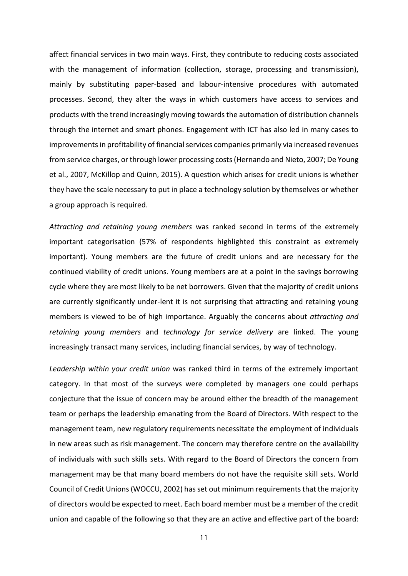affect financial services in two main ways. First, they contribute to reducing costs associated with the management of information (collection, storage, processing and transmission), mainly by substituting paper-based and labour-intensive procedures with automated processes. Second, they alter the ways in which customers have access to services and products with the trend increasingly moving towards the automation of distribution channels through the internet and smart phones. Engagement with ICT has also led in many cases to improvements in profitability of financial services companies primarily via increased revenues from service charges, or through lower processing costs (Hernando and Nieto, 2007; De Young et al., 2007, McKillop and Quinn, 2015). A question which arises for credit unions is whether they have the scale necessary to put in place a technology solution by themselves or whether a group approach is required.

*Attracting and retaining young members* was ranked second in terms of the extremely important categorisation (57% of respondents highlighted this constraint as extremely important). Young members are the future of credit unions and are necessary for the continued viability of credit unions. Young members are at a point in the savings borrowing cycle where they are most likely to be net borrowers. Given that the majority of credit unions are currently significantly under-lent it is not surprising that attracting and retaining young members is viewed to be of high importance. Arguably the concerns about *attracting and retaining young members* and *technology for service delivery* are linked. The young increasingly transact many services, including financial services, by way of technology.

*Leadership within your credit union* was ranked third in terms of the extremely important category. In that most of the surveys were completed by managers one could perhaps conjecture that the issue of concern may be around either the breadth of the management team or perhaps the leadership emanating from the Board of Directors. With respect to the management team, new regulatory requirements necessitate the employment of individuals in new areas such as risk management. The concern may therefore centre on the availability of individuals with such skills sets. With regard to the Board of Directors the concern from management may be that many board members do not have the requisite skill sets. World Council of Credit Unions (WOCCU, 2002) has set out minimum requirements that the majority of directors would be expected to meet. Each board member must be a member of the credit union and capable of the following so that they are an active and effective part of the board:

11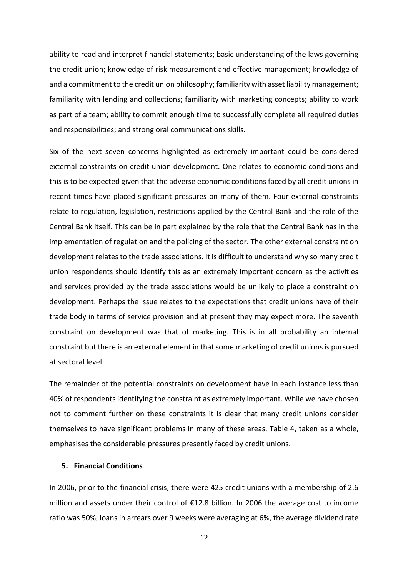ability to read and interpret financial statements; basic understanding of the laws governing the credit union; knowledge of risk measurement and effective management; knowledge of and a commitment to the credit union philosophy; familiarity with asset liability management; familiarity with lending and collections; familiarity with marketing concepts; ability to work as part of a team; ability to commit enough time to successfully complete all required duties and responsibilities; and strong oral communications skills.

Six of the next seven concerns highlighted as extremely important could be considered external constraints on credit union development. One relates to economic conditions and this is to be expected given that the adverse economic conditions faced by all credit unions in recent times have placed significant pressures on many of them. Four external constraints relate to regulation, legislation, restrictions applied by the Central Bank and the role of the Central Bank itself. This can be in part explained by the role that the Central Bank has in the implementation of regulation and the policing of the sector. The other external constraint on development relates to the trade associations. It is difficult to understand why so many credit union respondents should identify this as an extremely important concern as the activities and services provided by the trade associations would be unlikely to place a constraint on development. Perhaps the issue relates to the expectations that credit unions have of their trade body in terms of service provision and at present they may expect more. The seventh constraint on development was that of marketing. This is in all probability an internal constraint but there is an external element in that some marketing of credit unions is pursued at sectoral level.

The remainder of the potential constraints on development have in each instance less than 40% of respondents identifying the constraint as extremely important. While we have chosen not to comment further on these constraints it is clear that many credit unions consider themselves to have significant problems in many of these areas. Table 4, taken as a whole, emphasises the considerable pressures presently faced by credit unions.

#### **5. Financial Conditions**

In 2006, prior to the financial crisis, there were 425 credit unions with a membership of 2.6 million and assets under their control of €12.8 billion. In 2006 the average cost to income ratio was 50%, loans in arrears over 9 weeks were averaging at 6%, the average dividend rate

12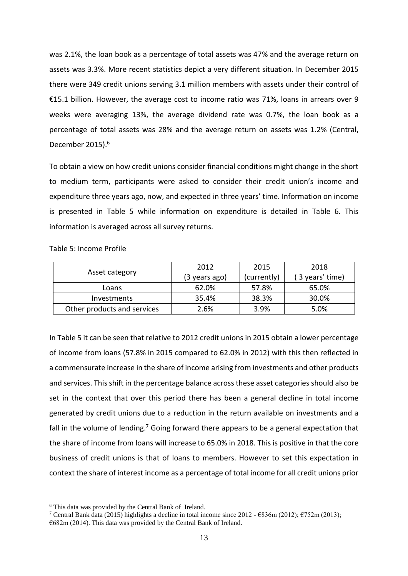was 2.1%, the loan book as a percentage of total assets was 47% and the average return on assets was 3.3%. More recent statistics depict a very different situation. In December 2015 there were 349 credit unions serving 3.1 million members with assets under their control of €15.1 billion. However, the average cost to income ratio was 71%, loans in arrears over 9 weeks were averaging 13%, the average dividend rate was 0.7%, the loan book as a percentage of total assets was 28% and the average return on assets was 1.2% (Central, December 2015).<sup>6</sup>

To obtain a view on how credit unions consider financial conditions might change in the short to medium term, participants were asked to consider their credit union's income and expenditure three years ago, now, and expected in three years' time. Information on income is presented in Table 5 while information on expenditure is detailed in Table 6. This information is averaged across all survey returns.

Table 5: Income Profile

|                             | 2012          | 2015        | 2018           |
|-----------------------------|---------------|-------------|----------------|
| Asset category              | (3 years ago) | (currently) | 3 years' time) |
| Loans                       | 62.0%         | 57.8%       | 65.0%          |
| Investments                 | 35.4%         | 38.3%       | 30.0%          |
| Other products and services | 2.6%          | 3.9%        | 5.0%           |

In Table 5 it can be seen that relative to 2012 credit unions in 2015 obtain a lower percentage of income from loans (57.8% in 2015 compared to 62.0% in 2012) with this then reflected in a commensurate increase in the share of income arising from investments and other products and services. This shift in the percentage balance across these asset categories should also be set in the context that over this period there has been a general decline in total income generated by credit unions due to a reduction in the return available on investments and a fall in the volume of lending.<sup>7</sup> Going forward there appears to be a general expectation that the share of income from loans will increase to 65.0% in 2018. This is positive in that the core business of credit unions is that of loans to members. However to set this expectation in context the share of interest income as a percentage of total income for all credit unions prior

<u>.</u>

<sup>6</sup> This data was provided by the Central Bank of Ireland.

<sup>&</sup>lt;sup>7</sup> Central Bank data (2015) highlights a decline in total income since 2012 -  $\epsilon$ 836m (2012);  $\epsilon$ 752m (2013); €682m (2014). This data was provided by the Central Bank of Ireland.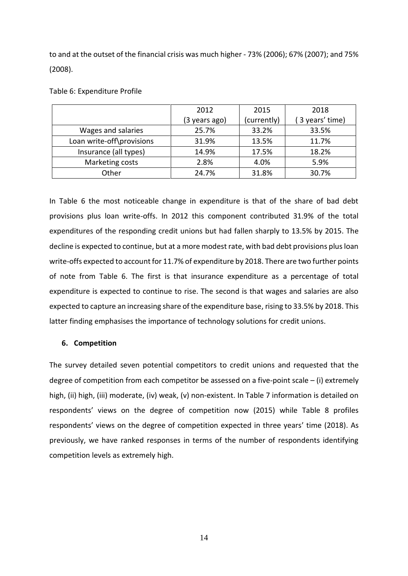to and at the outset of the financial crisis was much higher - 73% (2006); 67% (2007); and 75% (2008).

|  | Table 6: Expenditure Profile |  |
|--|------------------------------|--|
|--|------------------------------|--|

|                           | 2012          | 2015        | 2018           |
|---------------------------|---------------|-------------|----------------|
|                           | (3 years ago) | (currently) | 3 years' time) |
| Wages and salaries        | 25.7%         | 33.2%       | 33.5%          |
| Loan write-off\provisions | 31.9%         | 13.5%       | 11.7%          |
| Insurance (all types)     | 14.9%         | 17.5%       | 18.2%          |
| Marketing costs           | 2.8%          | 4.0%        | 5.9%           |
| Other                     | 24.7%         | 31.8%       | 30.7%          |

In Table 6 the most noticeable change in expenditure is that of the share of bad debt provisions plus loan write-offs. In 2012 this component contributed 31.9% of the total expenditures of the responding credit unions but had fallen sharply to 13.5% by 2015. The decline is expected to continue, but at a more modest rate, with bad debt provisions plus loan write-offs expected to account for 11.7% of expenditure by 2018. There are two further points of note from Table 6. The first is that insurance expenditure as a percentage of total expenditure is expected to continue to rise. The second is that wages and salaries are also expected to capture an increasing share of the expenditure base, rising to 33.5% by 2018. This latter finding emphasises the importance of technology solutions for credit unions.

## **6. Competition**

The survey detailed seven potential competitors to credit unions and requested that the degree of competition from each competitor be assessed on a five-point scale  $-$  (i) extremely high, (ii) high, (iii) moderate, (iv) weak, (v) non-existent. In Table 7 information is detailed on respondents' views on the degree of competition now (2015) while Table 8 profiles respondents' views on the degree of competition expected in three years' time (2018). As previously, we have ranked responses in terms of the number of respondents identifying competition levels as extremely high.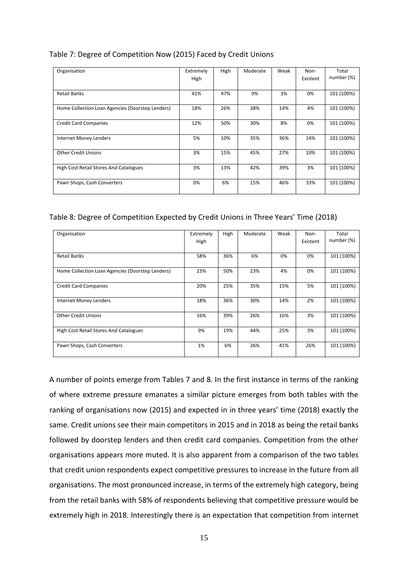| Table 7: Degree of Competition Now (2015) Faced by Credit Unions |  |
|------------------------------------------------------------------|--|
|------------------------------------------------------------------|--|

| Organisation                                     | Extremely<br>High | High | Moderate | Weak | Non-<br>Existent | Total<br>number (%) |
|--------------------------------------------------|-------------------|------|----------|------|------------------|---------------------|
|                                                  |                   |      |          |      |                  |                     |
| <b>Retail Banks</b>                              | 41%               | 47%  | 9%       | 3%   | 0%               | 101 (100%)          |
| Home Collection Loan Agencies (Doorstep Lenders) | 18%               | 26%  | 38%      | 14%  | 4%               | 101 (100%)          |
| <b>Credit Card Companies</b>                     | 12%               | 50%  | 30%      | 8%   | 0%               | 101 (100%)          |
| Internet Money Lenders                           | 5%                | 10%  | 35%      | 36%  | 14%              | 101 (100%)          |
| <b>Other Credit Unions</b>                       | 3%                | 15%  | 45%      | 27%  | 10%              | 101 (100%)          |
| High Cost Retail Stores And Catalogues           | 3%                | 13%  | 42%      | 39%  | 3%               | 101 (100%)          |
| Pawn Shops, Cash Converters                      | 0%                | 6%   | 15%      | 46%  | 33%              | 101 (100%)          |

## Table 8: Degree of Competition Expected by Credit Unions in Three Years' Time (2018)

| Organisation                                     | Extremely<br>High | High | Moderate | Weak | Non-<br>Existent | Total<br>number (%) |
|--------------------------------------------------|-------------------|------|----------|------|------------------|---------------------|
| Retail Banks                                     | 58%               | 36%  | 6%       | 0%   | 0%               | 101 (100%)          |
| Home Collection Loan Agencies (Doorstep Lenders) | 23%               | 50%  | 23%      | 4%   | 0%               | 101 (100%)          |
| <b>Credit Card Companies</b>                     | 20%               | 25%  | 35%      | 15%  | 5%               | 101 (100%)          |
| Internet Money Lenders                           | 18%               | 36%  | 30%      | 14%  | 2%               | 101 (100%)          |
| <b>Other Credit Unions</b>                       | 16%               | 39%  | 26%      | 16%  | 3%               | 101 (100%)          |
| High Cost Retail Stores And Catalogues           | 9%                | 19%  | 44%      | 25%  | 3%               | 101 (100%)          |
| Pawn Shops, Cash Converters                      | 1%                | 6%   | 26%      | 41%  | 26%              | 101 (100%)          |

A number of points emerge from Tables 7 and 8. In the first instance in terms of the ranking of where extreme pressure emanates a similar picture emerges from both tables with the ranking of organisations now (2015) and expected in in three years' time (2018) exactly the same. Credit unions see their main competitors in 2015 and in 2018 as being the retail banks followed by doorstep lenders and then credit card companies. Competition from the other organisations appears more muted. It is also apparent from a comparison of the two tables that credit union respondents expect competitive pressures to increase in the future from all organisations. The most pronounced increase, in terms of the extremely high category, being from the retail banks with 58% of respondents believing that competitive pressure would be extremely high in 2018. Interestingly there is an expectation that competition from internet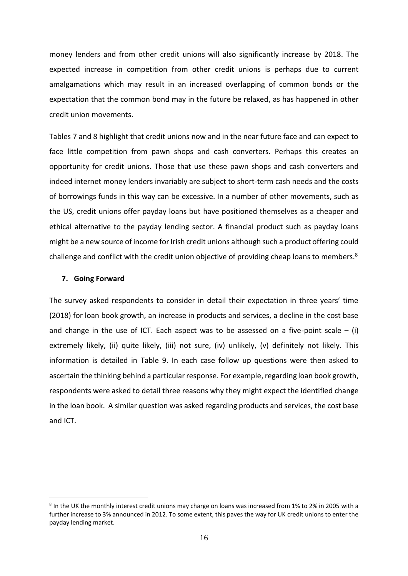money lenders and from other credit unions will also significantly increase by 2018. The expected increase in competition from other credit unions is perhaps due to current amalgamations which may result in an increased overlapping of common bonds or the expectation that the common bond may in the future be relaxed, as has happened in other credit union movements.

Tables 7 and 8 highlight that credit unions now and in the near future face and can expect to face little competition from pawn shops and cash converters. Perhaps this creates an opportunity for credit unions. Those that use these pawn shops and cash converters and indeed internet money lenders invariably are subject to short-term cash needs and the costs of borrowings funds in this way can be excessive. In a number of other movements, such as the US, credit unions offer payday loans but have positioned themselves as a cheaper and ethical alternative to the payday lending sector. A financial product such as payday loans might be a new source of income for Irish credit unions although such a product offering could challenge and conflict with the credit union objective of providing cheap loans to members.<sup>8</sup>

#### **7. Going Forward**

1

The survey asked respondents to consider in detail their expectation in three years' time (2018) for loan book growth, an increase in products and services, a decline in the cost base and change in the use of ICT. Each aspect was to be assessed on a five-point scale  $-$  (i) extremely likely, (ii) quite likely, (iii) not sure, (iv) unlikely, (v) definitely not likely. This information is detailed in Table 9. In each case follow up questions were then asked to ascertain the thinking behind a particular response. For example, regarding loan book growth, respondents were asked to detail three reasons why they might expect the identified change in the loan book. A similar question was asked regarding products and services, the cost base and ICT.

<sup>8</sup> In the UK the monthly interest credit unions may charge on loans was increased from 1% to 2% in 2005 with a further increase to 3% announced in 2012. To some extent, this paves the way for UK credit unions to enter the payday lending market.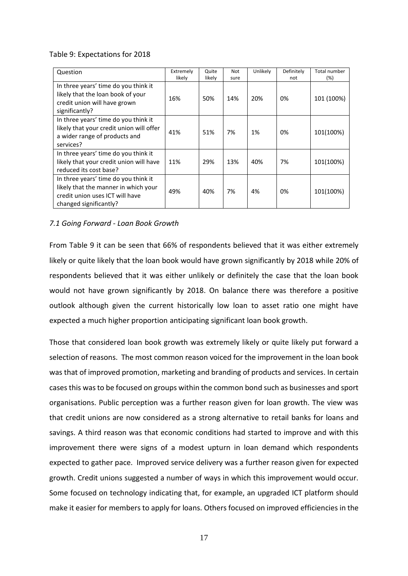## Table 9: Expectations for 2018

| Question                                                                                                                                  | Extremely<br>likely | Quite<br>likely | Not<br>sure | Unlikely | Definitely<br>not | Total number<br>(%) |
|-------------------------------------------------------------------------------------------------------------------------------------------|---------------------|-----------------|-------------|----------|-------------------|---------------------|
| In three years' time do you think it<br>likely that the loan book of your<br>credit union will have grown<br>significantly?               | 16%                 | 50%             | 14%         | 20%      | 0%                | 101 (100%)          |
| In three years' time do you think it<br>likely that your credit union will offer<br>a wider range of products and<br>services?            | 41%                 | 51%             | 7%          | 1%       | 0%                | 101(100%)           |
| In three years' time do you think it<br>likely that your credit union will have<br>reduced its cost base?                                 | 11%                 | 29%             | 13%         | 40%      | 7%                | 101(100%)           |
| In three years' time do you think it<br>likely that the manner in which your<br>credit union uses ICT will have<br>changed significantly? | 49%                 | 40%             | 7%          | 4%       | 0%                | 101(100%)           |

## *7.1 Going Forward - Loan Book Growth*

From Table 9 it can be seen that 66% of respondents believed that it was either extremely likely or quite likely that the loan book would have grown significantly by 2018 while 20% of respondents believed that it was either unlikely or definitely the case that the loan book would not have grown significantly by 2018. On balance there was therefore a positive outlook although given the current historically low loan to asset ratio one might have expected a much higher proportion anticipating significant loan book growth.

Those that considered loan book growth was extremely likely or quite likely put forward a selection of reasons. The most common reason voiced for the improvement in the loan book was that of improved promotion, marketing and branding of products and services. In certain cases this was to be focused on groups within the common bond such as businesses and sport organisations. Public perception was a further reason given for loan growth. The view was that credit unions are now considered as a strong alternative to retail banks for loans and savings. A third reason was that economic conditions had started to improve and with this improvement there were signs of a modest upturn in loan demand which respondents expected to gather pace. Improved service delivery was a further reason given for expected growth. Credit unions suggested a number of ways in which this improvement would occur. Some focused on technology indicating that, for example, an upgraded ICT platform should make it easier for members to apply for loans. Others focused on improved efficiencies in the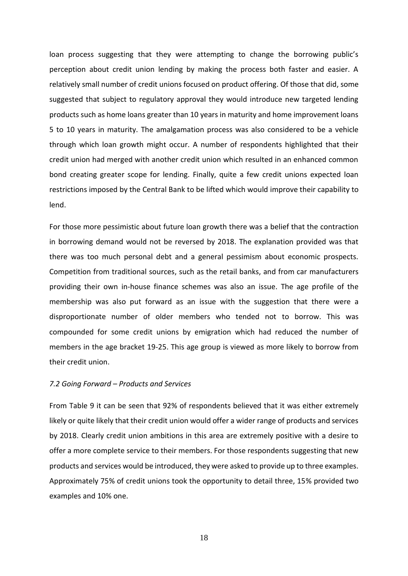loan process suggesting that they were attempting to change the borrowing public's perception about credit union lending by making the process both faster and easier. A relatively small number of credit unions focused on product offering. Of those that did, some suggested that subject to regulatory approval they would introduce new targeted lending products such as home loans greater than 10 years in maturity and home improvement loans 5 to 10 years in maturity. The amalgamation process was also considered to be a vehicle through which loan growth might occur. A number of respondents highlighted that their credit union had merged with another credit union which resulted in an enhanced common bond creating greater scope for lending. Finally, quite a few credit unions expected loan restrictions imposed by the Central Bank to be lifted which would improve their capability to lend.

For those more pessimistic about future loan growth there was a belief that the contraction in borrowing demand would not be reversed by 2018. The explanation provided was that there was too much personal debt and a general pessimism about economic prospects. Competition from traditional sources, such as the retail banks, and from car manufacturers providing their own in-house finance schemes was also an issue. The age profile of the membership was also put forward as an issue with the suggestion that there were a disproportionate number of older members who tended not to borrow. This was compounded for some credit unions by emigration which had reduced the number of members in the age bracket 19-25. This age group is viewed as more likely to borrow from their credit union.

#### *7.2 Going Forward – Products and Services*

From Table 9 it can be seen that 92% of respondents believed that it was either extremely likely or quite likely that their credit union would offer a wider range of products and services by 2018. Clearly credit union ambitions in this area are extremely positive with a desire to offer a more complete service to their members. For those respondents suggesting that new products and services would be introduced, they were asked to provide up to three examples. Approximately 75% of credit unions took the opportunity to detail three, 15% provided two examples and 10% one.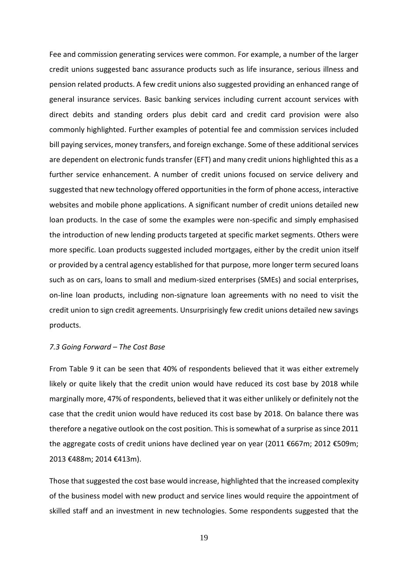Fee and commission generating services were common. For example, a number of the larger credit unions suggested banc assurance products such as life insurance, serious illness and pension related products. A few credit unions also suggested providing an enhanced range of general insurance services. Basic banking services including current account services with direct debits and standing orders plus debit card and credit card provision were also commonly highlighted. Further examples of potential fee and commission services included bill paying services, money transfers, and foreign exchange. Some of these additional services are dependent on electronic funds transfer (EFT) and many credit unions highlighted this as a further service enhancement. A number of credit unions focused on service delivery and suggested that new technology offered opportunities in the form of phone access, interactive websites and mobile phone applications. A significant number of credit unions detailed new loan products. In the case of some the examples were non-specific and simply emphasised the introduction of new lending products targeted at specific market segments. Others were more specific. Loan products suggested included mortgages, either by the credit union itself or provided by a central agency established for that purpose, more longer term secured loans such as on cars, loans to small and medium-sized enterprises (SMEs) and social enterprises, on-line loan products, including non-signature loan agreements with no need to visit the credit union to sign credit agreements. Unsurprisingly few credit unions detailed new savings products.

#### *7.3 Going Forward – The Cost Base*

From Table 9 it can be seen that 40% of respondents believed that it was either extremely likely or quite likely that the credit union would have reduced its cost base by 2018 while marginally more, 47% of respondents, believed that it was either unlikely or definitely not the case that the credit union would have reduced its cost base by 2018. On balance there was therefore a negative outlook on the cost position. This is somewhat of a surprise as since 2011 the aggregate costs of credit unions have declined year on year (2011 €667m; 2012 €509m; 2013 €488m; 2014 €413m).

Those that suggested the cost base would increase, highlighted that the increased complexity of the business model with new product and service lines would require the appointment of skilled staff and an investment in new technologies. Some respondents suggested that the

19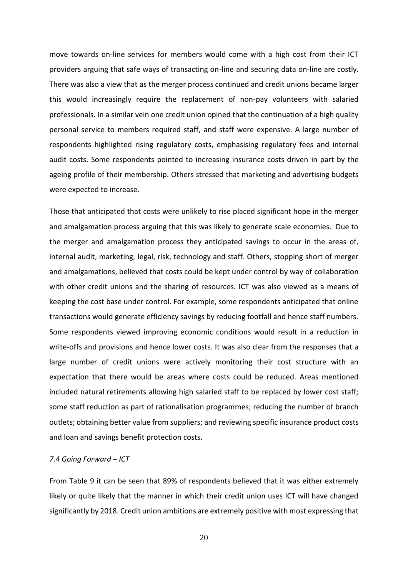move towards on-line services for members would come with a high cost from their ICT providers arguing that safe ways of transacting on-line and securing data on-line are costly. There was also a view that as the merger process continued and credit unions became larger this would increasingly require the replacement of non-pay volunteers with salaried professionals. In a similar vein one credit union opined that the continuation of a high quality personal service to members required staff, and staff were expensive. A large number of respondents highlighted rising regulatory costs, emphasising regulatory fees and internal audit costs. Some respondents pointed to increasing insurance costs driven in part by the ageing profile of their membership. Others stressed that marketing and advertising budgets were expected to increase.

Those that anticipated that costs were unlikely to rise placed significant hope in the merger and amalgamation process arguing that this was likely to generate scale economies. Due to the merger and amalgamation process they anticipated savings to occur in the areas of, internal audit, marketing, legal, risk, technology and staff. Others, stopping short of merger and amalgamations, believed that costs could be kept under control by way of collaboration with other credit unions and the sharing of resources. ICT was also viewed as a means of keeping the cost base under control. For example, some respondents anticipated that online transactions would generate efficiency savings by reducing footfall and hence staff numbers. Some respondents viewed improving economic conditions would result in a reduction in write-offs and provisions and hence lower costs. It was also clear from the responses that a large number of credit unions were actively monitoring their cost structure with an expectation that there would be areas where costs could be reduced. Areas mentioned included natural retirements allowing high salaried staff to be replaced by lower cost staff; some staff reduction as part of rationalisation programmes; reducing the number of branch outlets; obtaining better value from suppliers; and reviewing specific insurance product costs and loan and savings benefit protection costs.

#### *7.4 Going Forward – ICT*

From Table 9 it can be seen that 89% of respondents believed that it was either extremely likely or quite likely that the manner in which their credit union uses ICT will have changed significantly by 2018. Credit union ambitions are extremely positive with most expressing that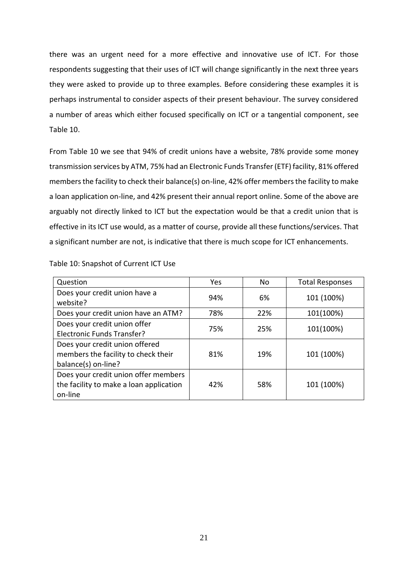there was an urgent need for a more effective and innovative use of ICT. For those respondents suggesting that their uses of ICT will change significantly in the next three years they were asked to provide up to three examples. Before considering these examples it is perhaps instrumental to consider aspects of their present behaviour. The survey considered a number of areas which either focused specifically on ICT or a tangential component, see Table 10.

From Table 10 we see that 94% of credit unions have a website, 78% provide some money transmission services by ATM, 75% had an Electronic Funds Transfer (ETF) facility, 81% offered members the facility to check their balance(s) on-line, 42% offer members the facility to make a loan application on-line, and 42% present their annual report online. Some of the above are arguably not directly linked to ICT but the expectation would be that a credit union that is effective in its ICT use would, as a matter of course, provide all these functions/services. That a significant number are not, is indicative that there is much scope for ICT enhancements.

| Question                                                                                     | Yes | N <sub>o</sub> | <b>Total Responses</b> |
|----------------------------------------------------------------------------------------------|-----|----------------|------------------------|
| Does your credit union have a<br>website?                                                    | 94% | 6%             | 101 (100%)             |
| Does your credit union have an ATM?                                                          | 78% | 22%            | 101(100%)              |
| Does your credit union offer<br>Electronic Funds Transfer?                                   | 75% | 25%            | 101(100%)              |
| Does your credit union offered<br>members the facility to check their<br>balance(s) on-line? | 81% | 19%            | 101 (100%)             |
| Does your credit union offer members<br>the facility to make a loan application<br>on-line   | 42% | 58%            | 101 (100%)             |

Table 10: Snapshot of Current ICT Use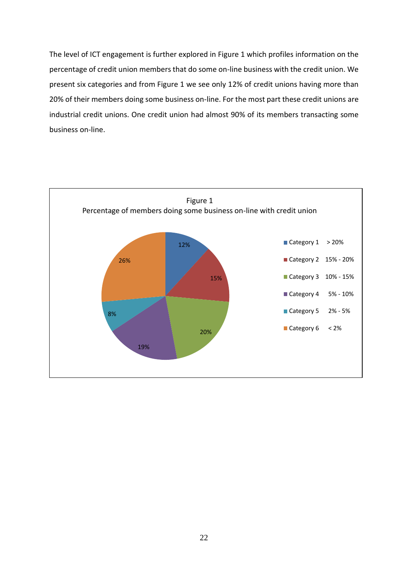The level of ICT engagement is further explored in Figure 1 which profiles information on the percentage of credit union members that do some on-line business with the credit union. We present six categories and from Figure 1 we see only 12% of credit unions having more than 20% of their members doing some business on-line. For the most part these credit unions are industrial credit unions. One credit union had almost 90% of its members transacting some business on-line.

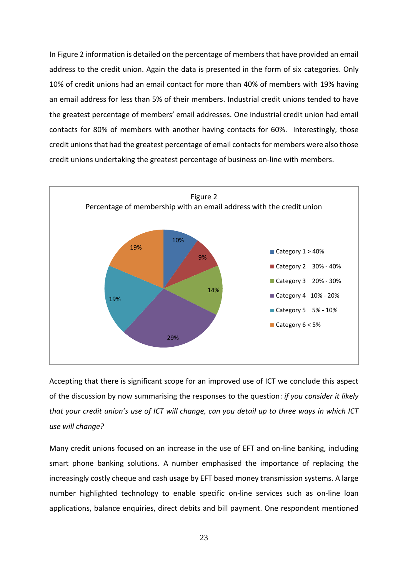In Figure 2 information is detailed on the percentage of members that have provided an email address to the credit union. Again the data is presented in the form of six categories. Only 10% of credit unions had an email contact for more than 40% of members with 19% having an email address for less than 5% of their members. Industrial credit unions tended to have the greatest percentage of members' email addresses. One industrial credit union had email contacts for 80% of members with another having contacts for 60%. Interestingly, those credit unions that had the greatest percentage of email contacts for members were also those credit unions undertaking the greatest percentage of business on-line with members.



Accepting that there is significant scope for an improved use of ICT we conclude this aspect of the discussion by now summarising the responses to the question: *if you consider it likely that your credit union's use of ICT will change, can you detail up to three ways in which ICT use will change?*

Many credit unions focused on an increase in the use of EFT and on-line banking, including smart phone banking solutions. A number emphasised the importance of replacing the increasingly costly cheque and cash usage by EFT based money transmission systems. A large number highlighted technology to enable specific on-line services such as on-line loan applications, balance enquiries, direct debits and bill payment. One respondent mentioned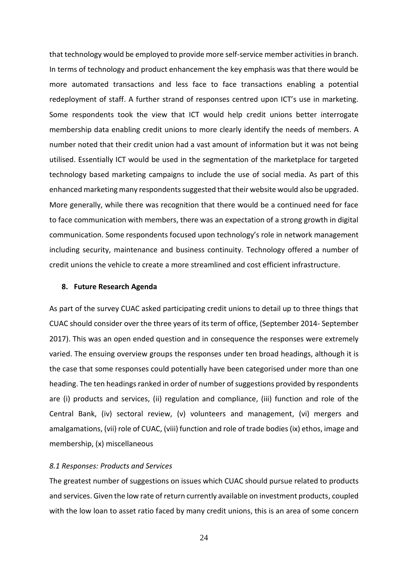that technology would be employed to provide more self-service member activities in branch. In terms of technology and product enhancement the key emphasis was that there would be more automated transactions and less face to face transactions enabling a potential redeployment of staff. A further strand of responses centred upon ICT's use in marketing. Some respondents took the view that ICT would help credit unions better interrogate membership data enabling credit unions to more clearly identify the needs of members. A number noted that their credit union had a vast amount of information but it was not being utilised. Essentially ICT would be used in the segmentation of the marketplace for targeted technology based marketing campaigns to include the use of social media. As part of this enhanced marketing many respondents suggested that their website would also be upgraded. More generally, while there was recognition that there would be a continued need for face to face communication with members, there was an expectation of a strong growth in digital communication. Some respondents focused upon technology's role in network management including security, maintenance and business continuity. Technology offered a number of credit unions the vehicle to create a more streamlined and cost efficient infrastructure.

#### **8. Future Research Agenda**

As part of the survey CUAC asked participating credit unions to detail up to three things that CUAC should consider over the three years of its term of office, (September 2014- September 2017). This was an open ended question and in consequence the responses were extremely varied. The ensuing overview groups the responses under ten broad headings, although it is the case that some responses could potentially have been categorised under more than one heading. The ten headings ranked in order of number of suggestions provided by respondents are (i) products and services, (ii) regulation and compliance, (iii) function and role of the Central Bank, (iv) sectoral review, (v) volunteers and management, (vi) mergers and amalgamations, (vii) role of CUAC, (viii) function and role of trade bodies (ix) ethos, image and membership, (x) miscellaneous

#### *8.1 Responses: Products and Services*

The greatest number of suggestions on issues which CUAC should pursue related to products and services. Given the low rate of return currently available on investment products, coupled with the low loan to asset ratio faced by many credit unions, this is an area of some concern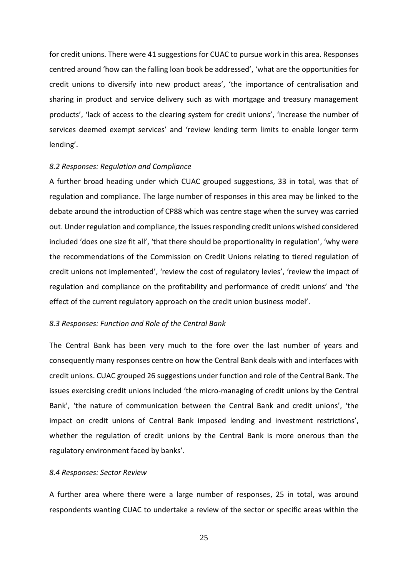for credit unions. There were 41 suggestions for CUAC to pursue work in this area. Responses centred around 'how can the falling loan book be addressed', 'what are the opportunities for credit unions to diversify into new product areas', 'the importance of centralisation and sharing in product and service delivery such as with mortgage and treasury management products', 'lack of access to the clearing system for credit unions', 'increase the number of services deemed exempt services' and 'review lending term limits to enable longer term lending'.

#### *8.2 Responses: Regulation and Compliance*

A further broad heading under which CUAC grouped suggestions, 33 in total, was that of regulation and compliance. The large number of responses in this area may be linked to the debate around the introduction of CP88 which was centre stage when the survey was carried out. Under regulation and compliance, the issues responding credit unions wished considered included 'does one size fit all', 'that there should be proportionality in regulation', 'why were the recommendations of the Commission on Credit Unions relating to tiered regulation of credit unions not implemented', 'review the cost of regulatory levies', 'review the impact of regulation and compliance on the profitability and performance of credit unions' and 'the effect of the current regulatory approach on the credit union business model'.

#### *8.3 Responses: Function and Role of the Central Bank*

The Central Bank has been very much to the fore over the last number of years and consequently many responses centre on how the Central Bank deals with and interfaces with credit unions. CUAC grouped 26 suggestions under function and role of the Central Bank. The issues exercising credit unions included 'the micro-managing of credit unions by the Central Bank', 'the nature of communication between the Central Bank and credit unions', 'the impact on credit unions of Central Bank imposed lending and investment restrictions', whether the regulation of credit unions by the Central Bank is more onerous than the regulatory environment faced by banks'.

#### *8.4 Responses: Sector Review*

A further area where there were a large number of responses, 25 in total, was around respondents wanting CUAC to undertake a review of the sector or specific areas within the

25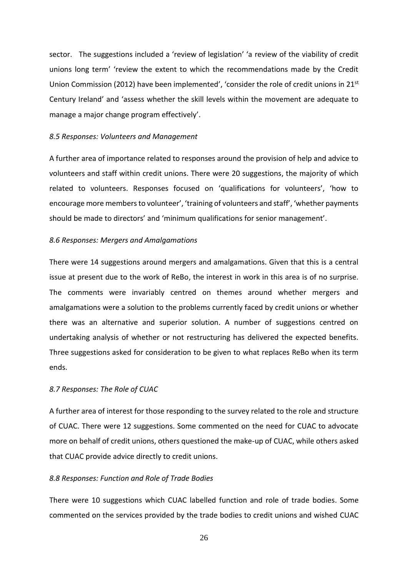sector. The suggestions included a 'review of legislation' 'a review of the viability of credit unions long term' 'review the extent to which the recommendations made by the Credit Union Commission (2012) have been implemented', 'consider the role of credit unions in 21st Century Ireland' and 'assess whether the skill levels within the movement are adequate to manage a major change program effectively'.

#### *8.5 Responses: Volunteers and Management*

A further area of importance related to responses around the provision of help and advice to volunteers and staff within credit unions. There were 20 suggestions, the majority of which related to volunteers. Responses focused on 'qualifications for volunteers', 'how to encourage more members to volunteer', 'training of volunteers and staff', 'whether payments should be made to directors' and 'minimum qualifications for senior management'.

#### *8.6 Responses: Mergers and Amalgamations*

There were 14 suggestions around mergers and amalgamations. Given that this is a central issue at present due to the work of ReBo, the interest in work in this area is of no surprise. The comments were invariably centred on themes around whether mergers and amalgamations were a solution to the problems currently faced by credit unions or whether there was an alternative and superior solution. A number of suggestions centred on undertaking analysis of whether or not restructuring has delivered the expected benefits. Three suggestions asked for consideration to be given to what replaces ReBo when its term ends.

#### *8.7 Responses: The Role of CUAC*

A further area of interest for those responding to the survey related to the role and structure of CUAC. There were 12 suggestions. Some commented on the need for CUAC to advocate more on behalf of credit unions, others questioned the make-up of CUAC, while others asked that CUAC provide advice directly to credit unions.

#### *8.8 Responses: Function and Role of Trade Bodies*

There were 10 suggestions which CUAC labelled function and role of trade bodies. Some commented on the services provided by the trade bodies to credit unions and wished CUAC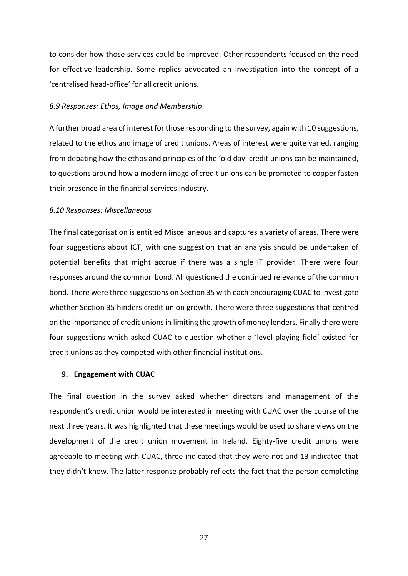to consider how those services could be improved. Other respondents focused on the need for effective leadership. Some replies advocated an investigation into the concept of a 'centralised head-office' for all credit unions.

#### *8.9 Responses: Ethos, Image and Membership*

A further broad area of interest for those responding to the survey, again with 10 suggestions, related to the ethos and image of credit unions. Areas of interest were quite varied, ranging from debating how the ethos and principles of the 'old day' credit unions can be maintained, to questions around how a modern image of credit unions can be promoted to copper fasten their presence in the financial services industry.

#### *8.10 Responses: Miscellaneous*

The final categorisation is entitled Miscellaneous and captures a variety of areas. There were four suggestions about ICT, with one suggestion that an analysis should be undertaken of potential benefits that might accrue if there was a single IT provider. There were four responses around the common bond. All questioned the continued relevance of the common bond. There were three suggestions on Section 35 with each encouraging CUAC to investigate whether Section 35 hinders credit union growth. There were three suggestions that centred on the importance of credit unions in limiting the growth of money lenders. Finally there were four suggestions which asked CUAC to question whether a 'level playing field' existed for credit unions as they competed with other financial institutions.

#### **9. Engagement with CUAC**

The final question in the survey asked whether directors and management of the respondent's credit union would be interested in meeting with CUAC over the course of the next three years. It was highlighted that these meetings would be used to share views on the development of the credit union movement in Ireland. Eighty-five credit unions were agreeable to meeting with CUAC, three indicated that they were not and 13 indicated that they didn't know. The latter response probably reflects the fact that the person completing

27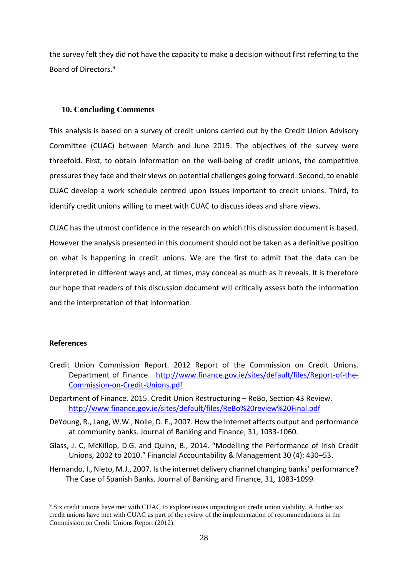the survey felt they did not have the capacity to make a decision without first referring to the Board of Directors.<sup>9</sup>

## **10. Concluding Comments**

This analysis is based on a survey of credit unions carried out by the Credit Union Advisory Committee (CUAC) between March and June 2015. The objectives of the survey were threefold. First, to obtain information on the well-being of credit unions, the competitive pressures they face and their views on potential challenges going forward. Second, to enable CUAC develop a work schedule centred upon issues important to credit unions. Third, to identify credit unions willing to meet with CUAC to discuss ideas and share views.

CUAC has the utmost confidence in the research on which this discussion document is based. However the analysis presented in this document should not be taken as a definitive position on what is happening in credit unions. We are the first to admit that the data can be interpreted in different ways and, at times, may conceal as much as it reveals. It is therefore our hope that readers of this discussion document will critically assess both the information and the interpretation of that information.

## **References**

<u>.</u>

- Credit Union Commission Report. 2012 Report of the Commission on Credit Unions*.* Department of Finance. [http://www.finance.gov.ie/sites/default/files/Report-of-the-](http://www.finance.gov.ie/sites/default/files/Report-of-the-Commission-on-Credit-Unions.pdf)[Commission-on-Credit-Unions.pdf](http://www.finance.gov.ie/sites/default/files/Report-of-the-Commission-on-Credit-Unions.pdf)
- Department of Finance. 2015. Credit Union Restructuring ReBo, Section 43 Review. <http://www.finance.gov.ie/sites/default/files/ReBo%20review%20Final.pdf>
- DeYoung, R., Lang, W.W., Nolle, D. E., 2007. How the Internet affects output and performance at community banks. Journal of Banking and Finance, 31, 1033-1060.
- Glass, J. C, McKillop, D.G. and Quinn, B., 2014. "Modelling the Performance of Irish Credit Unions, 2002 to 2010." Financial Accountability & Management 30 (4): 430–53.
- Hernando, I., Nieto, M.J., 2007. Is the internet delivery channel changing banks' performance? The Case of Spanish Banks. Journal of Banking and Finance, 31, 1083-1099.

<sup>&</sup>lt;sup>9</sup> Six credit unions have met with CUAC to explore issues impacting on credit union viability. A further six credit unions have met with CUAC as part of the review of the implementation of recommendations in the Commission on Credit Unions Report (2012).